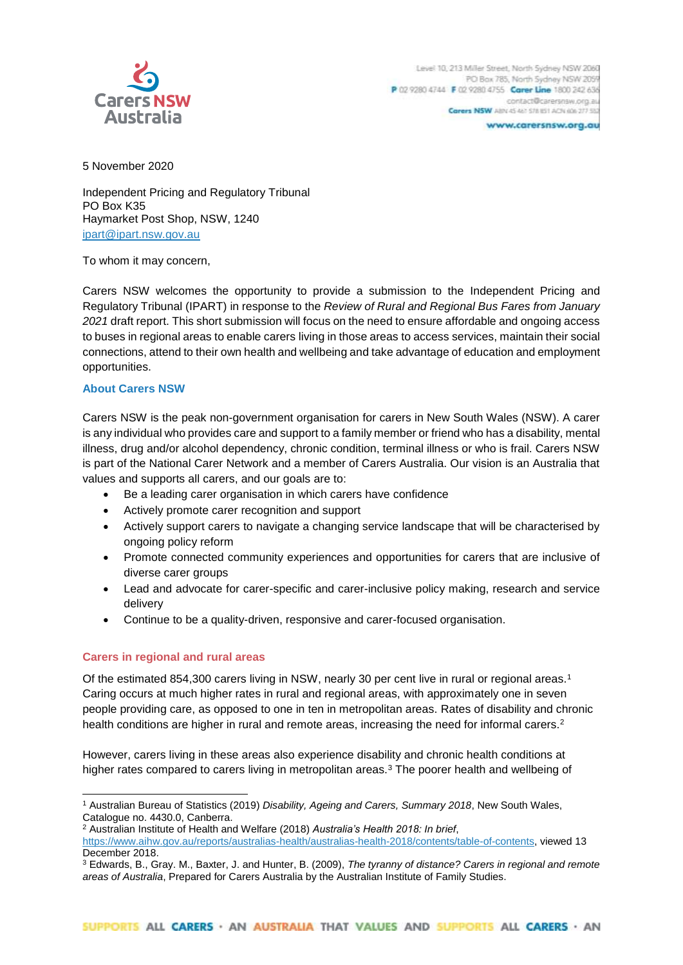

5 November 2020

Independent Pricing and Regulatory Tribunal PO Box K35 Haymarket Post Shop, NSW, 1240 ipart@ipart.nsw.gov.au

To whom it may concern,

Carers NSW welcomes the opportunity to provide a submission to the Independent Pricing and Regulatory Tribunal (IPART) in response to the *Review of Rural and Regional Bus Fares from January 2021* draft report. This short submission will focus on the need to ensure affordable and ongoing access to buses in regional areas to enable carers living in those areas to access services, maintain their social connections, attend to their own health and wellbeing and take advantage of education and employment opportunities.

# **About Carers NSW**

Carers NSW is the peak non-government organisation for carers in New South Wales (NSW). A carer is any individual who provides care and support to a family member or friend who has a disability, mental illness, drug and/or alcohol dependency, chronic condition, terminal illness or who is frail. Carers NSW is part of the National Carer Network and a member of Carers Australia. Our vision is an Australia that values and supports all carers, and our goals are to:

- Be a leading carer organisation in which carers have confidence
- Actively promote carer recognition and support
- Actively support carers to navigate a changing service landscape that will be characterised by ongoing policy reform
- Promote connected community experiences and opportunities for carers that are inclusive of diverse carer groups
- Lead and advocate for carer-specific and carer-inclusive policy making, research and service delivery
- Continue to be a quality-driven, responsive and carer-focused organisation.

# **Carers in regional and rural areas**

-

Of the estimated 854,300 carers living in NSW, nearly 30 per cent live in rural or regional areas.<sup>1</sup> Caring occurs at much higher rates in rural and regional areas, with approximately one in seven people providing care, as opposed to one in ten in metropolitan areas. Rates of disability and chronic health conditions are higher in rural and remote areas, increasing the need for informal carers.<sup>2</sup>

However, carers living in these areas also experience disability and chronic health conditions at higher rates compared to carers living in metropolitan areas.<sup>3</sup> The poorer health and wellbeing of

<sup>2</sup> Australian Institute of Health and Welfare (2018) *Australia's Health 2018: In brief*,

<sup>1</sup> Australian Bureau of Statistics (2019) *Disability, Ageing and Carers, Summary 2018*, New South Wales, Catalogue no. 4430.0, Canberra.

[https://www.aihw.gov.au/reports/australias-health/australias-health-2018/contents/table-of-contents,](https://www.aihw.gov.au/reports/australias-health/australias-health-2018/contents/table-of-contents) viewed 13 December 2018.

<sup>3</sup> Edwards, B., Gray. M., Baxter, J. and Hunter, B. (2009), *The tyranny of distance? Carers in regional and remote areas of Australia*, Prepared for Carers Australia by the Australian Institute of Family Studies.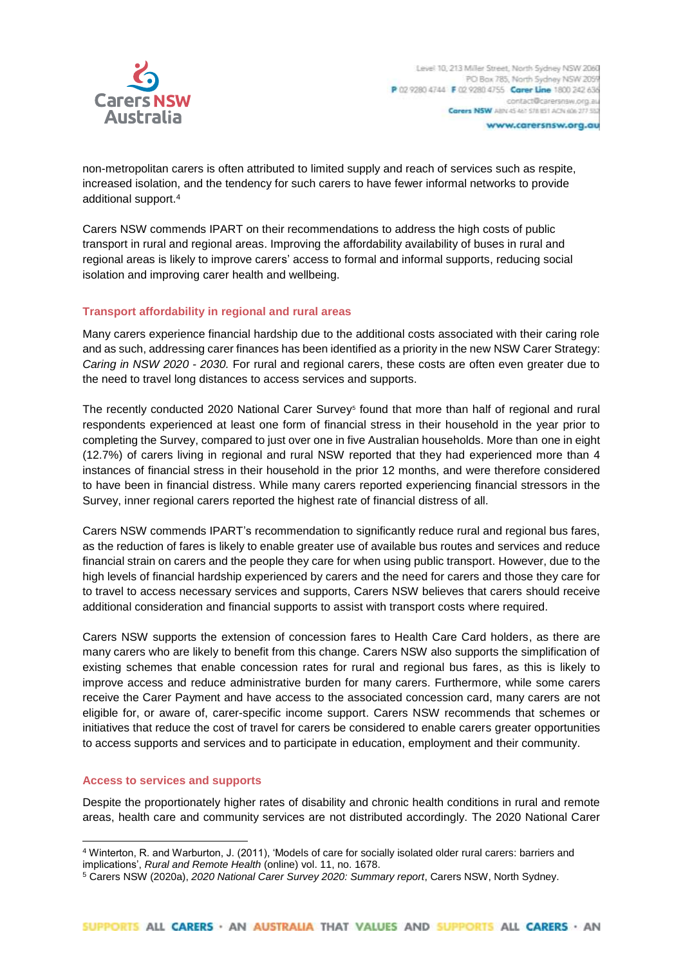

non-metropolitan carers is often attributed to limited supply and reach of services such as respite, increased isolation, and the tendency for such carers to have fewer informal networks to provide additional support.<sup>4</sup>

Carers NSW commends IPART on their recommendations to address the high costs of public transport in rural and regional areas. Improving the affordability availability of buses in rural and regional areas is likely to improve carers' access to formal and informal supports, reducing social isolation and improving carer health and wellbeing.

# **Transport affordability in regional and rural areas**

Many carers experience financial hardship due to the additional costs associated with their caring role and as such, addressing carer finances has been identified as a priority in the new NSW Carer Strategy: *Caring in NSW 2020 - 2030.* For rural and regional carers, these costs are often even greater due to the need to travel long distances to access services and supports.

The recently conducted 2020 National Carer Survey<sup>5</sup> found that more than half of regional and rural respondents experienced at least one form of financial stress in their household in the year prior to completing the Survey, compared to just over one in five Australian households. More than one in eight (12.7%) of carers living in regional and rural NSW reported that they had experienced more than 4 instances of financial stress in their household in the prior 12 months, and were therefore considered to have been in financial distress. While many carers reported experiencing financial stressors in the Survey, inner regional carers reported the highest rate of financial distress of all.

Carers NSW commends IPART's recommendation to significantly reduce rural and regional bus fares, as the reduction of fares is likely to enable greater use of available bus routes and services and reduce financial strain on carers and the people they care for when using public transport. However, due to the high levels of financial hardship experienced by carers and the need for carers and those they care for to travel to access necessary services and supports, Carers NSW believes that carers should receive additional consideration and financial supports to assist with transport costs where required.

Carers NSW supports the extension of concession fares to Health Care Card holders, as there are many carers who are likely to benefit from this change. Carers NSW also supports the simplification of existing schemes that enable concession rates for rural and regional bus fares, as this is likely to improve access and reduce administrative burden for many carers. Furthermore, while some carers receive the Carer Payment and have access to the associated concession card, many carers are not eligible for, or aware of, carer-specific income support. Carers NSW recommends that schemes or initiatives that reduce the cost of travel for carers be considered to enable carers greater opportunities to access supports and services and to participate in education, employment and their community.

# **Access to services and supports**

-

Despite the proportionately higher rates of disability and chronic health conditions in rural and remote areas, health care and community services are not distributed accordingly. The 2020 National Carer

<sup>4</sup> Winterton, R. and Warburton, J. (2011), 'Models of care for socially isolated older rural carers: barriers and implications', *Rural and Remote Health* (online) vol. 11, no. 1678.

<sup>5</sup> Carers NSW (2020a), *2020 National Carer Survey 2020: Summary report*, Carers NSW, North Sydney.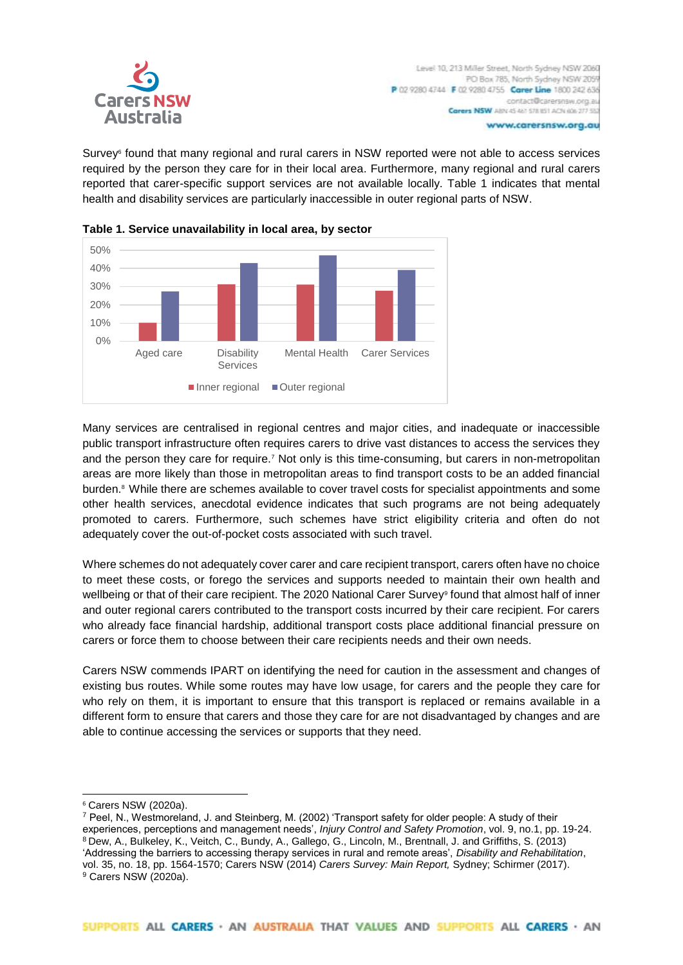

Survey<sup>6</sup> found that many regional and rural carers in NSW reported were not able to access services required by the person they care for in their local area. Furthermore, many regional and rural carers reported that carer-specific support services are not available locally. Table 1 indicates that mental health and disability services are particularly inaccessible in outer regional parts of NSW.





Many services are centralised in regional centres and major cities, and inadequate or inaccessible public transport infrastructure often requires carers to drive vast distances to access the services they and the person they care for require.<sup>7</sup> Not only is this time-consuming, but carers in non-metropolitan areas are more likely than those in metropolitan areas to find transport costs to be an added financial burden.<sup>8</sup> While there are schemes available to cover travel costs for specialist appointments and some other health services, anecdotal evidence indicates that such programs are not being adequately promoted to carers. Furthermore, such schemes have strict eligibility criteria and often do not adequately cover the out-of-pocket costs associated with such travel.

Where schemes do not adequately cover carer and care recipient transport, carers often have no choice to meet these costs, or forego the services and supports needed to maintain their own health and wellbeing or that of their care recipient. The 2020 National Carer Survey<sup>9</sup> found that almost half of inner and outer regional carers contributed to the transport costs incurred by their care recipient. For carers who already face financial hardship, additional transport costs place additional financial pressure on carers or force them to choose between their care recipients needs and their own needs.

Carers NSW commends IPART on identifying the need for caution in the assessment and changes of existing bus routes. While some routes may have low usage, for carers and the people they care for who rely on them, it is important to ensure that this transport is replaced or remains available in a different form to ensure that carers and those they care for are not disadvantaged by changes and are able to continue accessing the services or supports that they need.

-

<sup>6</sup> Carers NSW (2020a).

<sup>7</sup> Peel, N., Westmoreland, J. and Steinberg, M. (2002) 'Transport safety for older people: A study of their experiences, perceptions and management needs', *Injury Control and Safety Promotion*, vol. 9, no.1, pp. 19-24. <sup>8</sup> Dew, A., Bulkeley, K., Veitch, C., Bundy, A., Gallego, G., Lincoln, M., Brentnall, J. and Griffiths, S. (2013) 'Addressing the barriers to accessing therapy services in rural and remote areas', *Disability and Rehabilitation*, vol. 35, no. 18, pp. 1564-1570; Carers NSW (2014) *Carers Survey: Main Report,* Sydney; Schirmer (2017). <sup>9</sup> Carers NSW (2020a).